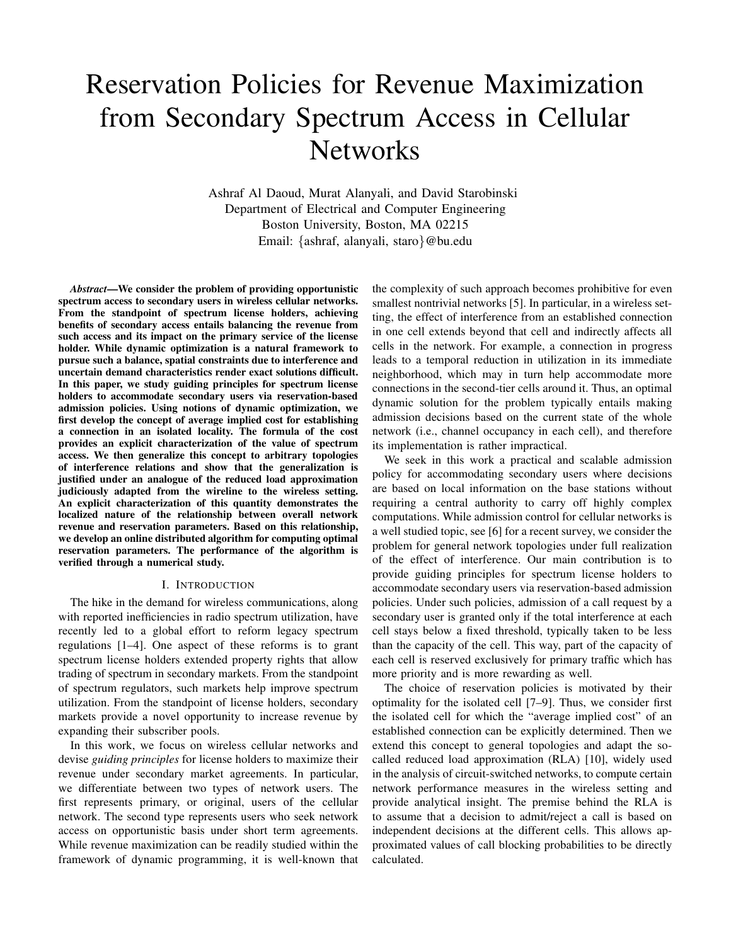# Reservation Policies for Revenue Maximization from Secondary Spectrum Access in Cellular **Networks**

Ashraf Al Daoud, Murat Alanyali, and David Starobinski Department of Electrical and Computer Engineering Boston University, Boston, MA 02215 Email: {ashraf, alanyali, staro}@bu.edu

*Abstract***—We consider the problem of providing opportunistic spectrum access to secondary users in wireless cellular networks. From the standpoint of spectrum license holders, achieving benefits of secondary access entails balancing the revenue from such access and its impact on the primary service of the license holder. While dynamic optimization is a natural framework to pursue such a balance, spatial constraints due to interference and uncertain demand characteristics render exact solutions difficult. In this paper, we study guiding principles for spectrum license holders to accommodate secondary users via reservation-based admission policies. Using notions of dynamic optimization, we first develop the concept of average implied cost for establishing a connection in an isolated locality. The formula of the cost provides an explicit characterization of the value of spectrum access. We then generalize this concept to arbitrary topologies of interference relations and show that the generalization is justified under an analogue of the reduced load approximation judiciously adapted from the wireline to the wireless setting. An explicit characterization of this quantity demonstrates the localized nature of the relationship between overall network revenue and reservation parameters. Based on this relationship, we develop an online distributed algorithm for computing optimal reservation parameters. The performance of the algorithm is verified through a numerical study.**

#### I. INTRODUCTION

The hike in the demand for wireless communications, along with reported inefficiencies in radio spectrum utilization, have recently led to a global effort to reform legacy spectrum regulations [1–4]. One aspect of these reforms is to grant spectrum license holders extended property rights that allow trading of spectrum in secondary markets. From the standpoint of spectrum regulators, such markets help improve spectrum utilization. From the standpoint of license holders, secondary markets provide a novel opportunity to increase revenue by expanding their subscriber pools.

In this work, we focus on wireless cellular networks and devise *guiding principles* for license holders to maximize their revenue under secondary market agreements. In particular, we differentiate between two types of network users. The first represents primary, or original, users of the cellular network. The second type represents users who seek network access on opportunistic basis under short term agreements. While revenue maximization can be readily studied within the framework of dynamic programming, it is well-known that the complexity of such approach becomes prohibitive for even smallest nontrivial networks [5]. In particular, in a wireless setting, the effect of interference from an established connection in one cell extends beyond that cell and indirectly affects all cells in the network. For example, a connection in progress leads to a temporal reduction in utilization in its immediate neighborhood, which may in turn help accommodate more connections in the second-tier cells around it. Thus, an optimal dynamic solution for the problem typically entails making admission decisions based on the current state of the whole network (i.e., channel occupancy in each cell), and therefore its implementation is rather impractical.

We seek in this work a practical and scalable admission policy for accommodating secondary users where decisions are based on local information on the base stations without requiring a central authority to carry off highly complex computations. While admission control for cellular networks is a well studied topic, see [6] for a recent survey, we consider the problem for general network topologies under full realization of the effect of interference. Our main contribution is to provide guiding principles for spectrum license holders to accommodate secondary users via reservation-based admission policies. Under such policies, admission of a call request by a secondary user is granted only if the total interference at each cell stays below a fixed threshold, typically taken to be less than the capacity of the cell. This way, part of the capacity of each cell is reserved exclusively for primary traffic which has more priority and is more rewarding as well.

The choice of reservation policies is motivated by their optimality for the isolated cell [7–9]. Thus, we consider first the isolated cell for which the "average implied cost" of an established connection can be explicitly determined. Then we extend this concept to general topologies and adapt the socalled reduced load approximation (RLA) [10], widely used in the analysis of circuit-switched networks, to compute certain network performance measures in the wireless setting and provide analytical insight. The premise behind the RLA is to assume that a decision to admit/reject a call is based on independent decisions at the different cells. This allows approximated values of call blocking probabilities to be directly calculated.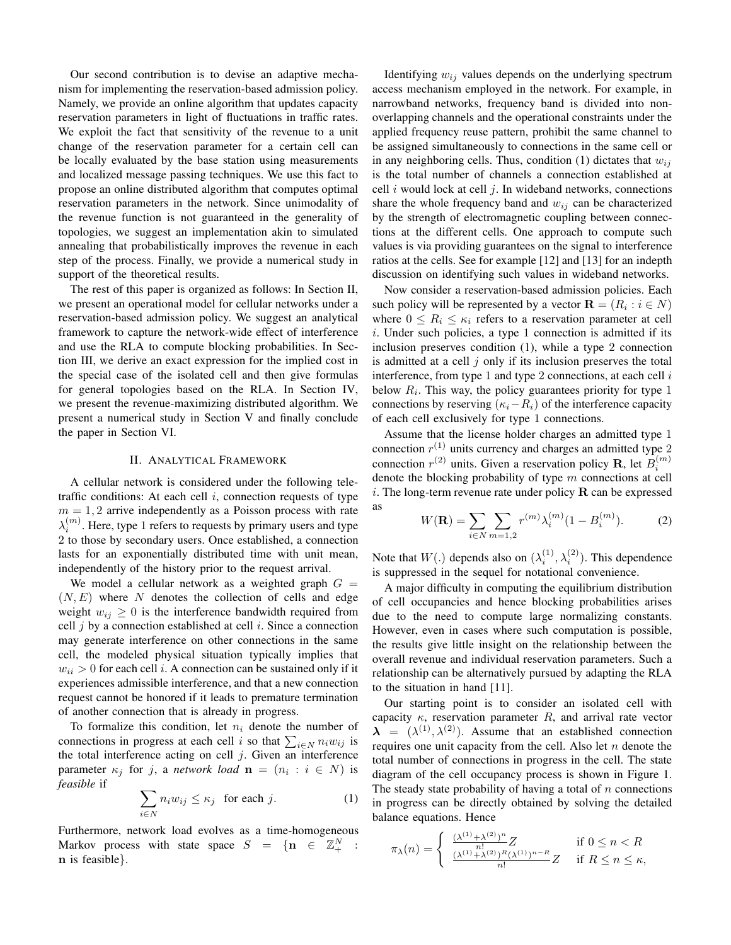Our second contribution is to devise an adaptive mechanism for implementing the reservation-based admission policy. Namely, we provide an online algorithm that updates capacity reservation parameters in light of fluctuations in traffic rates. We exploit the fact that sensitivity of the revenue to a unit change of the reservation parameter for a certain cell can be locally evaluated by the base station using measurements and localized message passing techniques. We use this fact to propose an online distributed algorithm that computes optimal reservation parameters in the network. Since unimodality of the revenue function is not guaranteed in the generality of topologies, we suggest an implementation akin to simulated annealing that probabilistically improves the revenue in each step of the process. Finally, we provide a numerical study in support of the theoretical results.

The rest of this paper is organized as follows: In Section II, we present an operational model for cellular networks under a reservation-based admission policy. We suggest an analytical framework to capture the network-wide effect of interference and use the RLA to compute blocking probabilities. In Section III, we derive an exact expression for the implied cost in the special case of the isolated cell and then give formulas for general topologies based on the RLA. In Section IV, we present the revenue-maximizing distributed algorithm. We present a numerical study in Section V and finally conclude the paper in Section VI.

## II. ANALYTICAL FRAMEWORK

A cellular network is considered under the following teletraffic conditions: At each cell  $i$ , connection requests of type  $m = 1, 2$  arrive independently as a Poisson process with rate  $\lambda_i^{(m)}$ . Here, type 1 refers to requests by primary users and type 2 to those by secondary users. Once established, a connection lasts for an exponentially distributed time with unit mean, independently of the history prior to the request arrival.

We model a cellular network as a weighted graph  $G =$  $(N, E)$  where N denotes the collection of cells and edge weight  $w_{ij} \geq 0$  is the interference bandwidth required from cell  $i$  by a connection established at cell  $i$ . Since a connection may generate interference on other connections in the same cell, the modeled physical situation typically implies that  $w_{ii} > 0$  for each cell i. A connection can be sustained only if it experiences admissible interference, and that a new connection request cannot be honored if it leads to premature termination of another connection that is already in progress.

To formalize this condition, let  $n_i$  denote the number of connections in progress at each cell *i* so that  $\sum_{i \in N} n_i w_{ij}$  is the total interference acting on cell  $j$ . Given an interference parameter  $\kappa_j$  for j, a *network load*  $\mathbf{n} = (n_i : i \in N)$  is *feasible* if

$$
\sum_{i \in N} n_i w_{ij} \le \kappa_j \quad \text{for each } j. \tag{1}
$$

Furthermore, network load evolves as a time-homogeneous Markov process with state space  $S = \{n \in \mathbb{Z}_{+}^N :$ n is feasible}.

Identifying  $w_{ij}$  values depends on the underlying spectrum access mechanism employed in the network. For example, in narrowband networks, frequency band is divided into nonoverlapping channels and the operational constraints under the applied frequency reuse pattern, prohibit the same channel to be assigned simultaneously to connections in the same cell or in any neighboring cells. Thus, condition (1) dictates that  $w_{ij}$ is the total number of channels a connection established at cell  $i$  would lock at cell  $j$ . In wideband networks, connections share the whole frequency band and  $w_{ij}$  can be characterized by the strength of electromagnetic coupling between connections at the different cells. One approach to compute such values is via providing guarantees on the signal to interference ratios at the cells. See for example [12] and [13] for an indepth discussion on identifying such values in wideband networks.

Now consider a reservation-based admission policies. Each such policy will be represented by a vector  $\mathbf{R} = (R_i : i \in N)$ where  $0 \leq R_i \leq \kappa_i$  refers to a reservation parameter at cell i. Under such policies, a type 1 connection is admitted if its inclusion preserves condition (1), while a type 2 connection is admitted at a cell  $j$  only if its inclusion preserves the total interference, from type 1 and type 2 connections, at each cell  $i$ below  $R_i$ . This way, the policy guarantees priority for type 1 connections by reserving ( $\kappa_i-R_i$ ) of the interference capacity of each cell exclusively for type 1 connections.

Assume that the license holder charges an admitted type 1 connection  $r^{(1)}$  units currency and charges an admitted type 2 connection  $r^{(2)}$  units. Given a reservation policy **R**, let  $B_i^{(m)}$ denote the blocking probability of type  $m$  connections at cell i. The long-term revenue rate under policy  $\bf{R}$  can be expressed as

$$
W(\mathbf{R}) = \sum_{i \in N} \sum_{m=1,2} r^{(m)} \lambda_i^{(m)} (1 - B_i^{(m)}).
$$
 (2)

Note that  $W(.)$  depends also on  $(\lambda_i^{(1)}, \lambda_i^{(2)})$ . This dependence is suppressed in the sequel for notational convenience.

A major difficulty in computing the equilibrium distribution of cell occupancies and hence blocking probabilities arises due to the need to compute large normalizing constants. However, even in cases where such computation is possible, the results give little insight on the relationship between the overall revenue and individual reservation parameters. Such a relationship can be alternatively pursued by adapting the RLA to the situation in hand [11].

Our starting point is to consider an isolated cell with capacity  $\kappa$ , reservation parameter R, and arrival rate vector  $\lambda = (\lambda^{(1)}, \lambda^{(2)})$ . Assume that an established connection requires one unit capacity from the cell. Also let  $n$  denote the total number of connections in progress in the cell. The state diagram of the cell occupancy process is shown in Figure 1. The steady state probability of having a total of  $n$  connections in progress can be directly obtained by solving the detailed balance equations. Hence

$$
\pi_{\lambda}(n) = \begin{cases} \frac{(\lambda^{(1)} + \lambda^{(2)})^n}{n!} Z & \text{if } 0 \le n < R\\ \frac{(\lambda^{(1)} + \lambda^{(2)})^R (\lambda^{(1)})^{n-R}}{n!} Z & \text{if } R \le n \le \kappa, \end{cases}
$$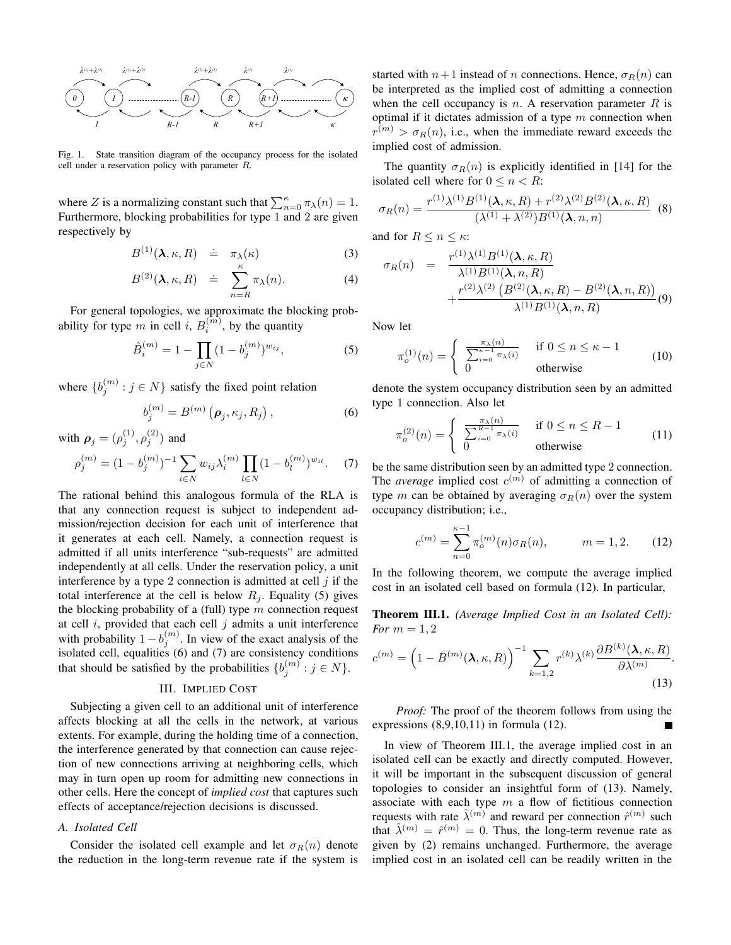

Fig. 1. State transition diagram of the occupancy process for the isolated cell under a reservation policy with parameter R.

where Z is a normalizing constant such that  $\sum_{n=0}^{\kappa} \pi_{\lambda}(n) = 1$ . Furthermore, blocking probabilities for type 1 and 2 are given respectively by

$$
B^{(1)}(\lambda,\kappa,R) \doteq \pi_{\lambda}(\kappa) \tag{3}
$$

$$
B^{(2)}(\lambda, \kappa, R) \doteq \sum_{n=R}^{\kappa} \pi_{\lambda}(n). \tag{4}
$$

For general topologies, we approximate the blocking probability for type m in cell i,  $B_i^{(m)}$ , by the quantity

$$
\hat{B}_i^{(m)} = 1 - \prod_{j \in N} (1 - b_j^{(m)})^{w_{ij}},\tag{5}
$$

where  $\{b_j^{(m)} : j \in N\}$  satisfy the fixed point relation

$$
b_j^{(m)} = B^{(m)}\left(\boldsymbol{\rho}_j, \kappa_j, R_j\right),\tag{6}
$$

with  $\rho_j = (\rho_j^{(1)}, \rho_j^{(2)})$  and

$$
\rho_j^{(m)} = (1 - b_j^{(m)})^{-1} \sum_{i \in N} w_{ij} \lambda_i^{(m)} \prod_{l \in N} (1 - b_l^{(m)})^{w_{il}}.
$$
 (7)

The rational behind this analogous formula of the RLA is that any connection request is subject to independent admission/rejection decision for each unit of interference that it generates at each cell. Namely, a connection request is admitted if all units interference "sub-requests" are admitted independently at all cells. Under the reservation policy, a unit interference by a type 2 connection is admitted at cell  $j$  if the total interference at the cell is below  $R_j$ . Equality (5) gives the blocking probability of a (full) type  $m$  connection request at cell  $i$ , provided that each cell  $j$  admits a unit interference with probability  $1 - b_j^{(m)}$ . In view of the exact analysis of the isolated cell, equalities (6) and (7) are consistency conditions that should be satisfied by the probabilities  $\{b_j^{(m)} : j \in N\}$ .

## III. IMPLIED COST

Subjecting a given cell to an additional unit of interference affects blocking at all the cells in the network, at various extents. For example, during the holding time of a connection, the interference generated by that connection can cause rejection of new connections arriving at neighboring cells, which may in turn open up room for admitting new connections in other cells. Here the concept of *implied cost* that captures such effects of acceptance/rejection decisions is discussed.

#### *A. Isolated Cell*

Consider the isolated cell example and let  $\sigma_R(n)$  denote the reduction in the long-term revenue rate if the system is started with  $n+1$  instead of n connections. Hence,  $\sigma_R(n)$  can be interpreted as the implied cost of admitting a connection when the cell occupancy is n. A reservation parameter  $R$  is optimal if it dictates admission of a type  $m$  connection when  $r^{(m)} > \sigma_R(n)$ , i.e., when the immediate reward exceeds the implied cost of admission.

The quantity  $\sigma_R(n)$  is explicitly identified in [14] for the isolated cell where for  $0 \le n \le R$ :

$$
\sigma_R(n) = \frac{r^{(1)}\lambda^{(1)}B^{(1)}(\lambda,\kappa,R) + r^{(2)}\lambda^{(2)}B^{(2)}(\lambda,\kappa,R)}{(\lambda^{(1)}+\lambda^{(2)})B^{(1)}(\lambda,n,n)} \tag{8}
$$

and for  $R \le n \le \kappa$ :

$$
\sigma_R(n) = \frac{r^{(1)}\lambda^{(1)}B^{(1)}(\lambda,\kappa,R)}{\lambda^{(1)}B^{(1)}(\lambda,n,R)} + \frac{r^{(2)}\lambda^{(2)}\left(B^{(2)}(\lambda,\kappa,R) - B^{(2)}(\lambda,n,R)\right)}{\lambda^{(1)}B^{(1)}(\lambda,n,R)}(9)
$$

Now let

$$
\pi_o^{(1)}(n) = \begin{cases} \frac{\pi_\lambda(n)}{\sum_{i=0}^{\kappa-1} \pi_\lambda(i)} & \text{if } 0 \le n \le \kappa - 1 \\ 0 & \text{otherwise} \end{cases}
$$
(10)

denote the system occupancy distribution seen by an admitted type 1 connection. Also let

$$
\pi_o^{(2)}(n) = \begin{cases} \frac{\pi_\lambda(n)}{\sum_{i=0}^{R-1} \pi_\lambda(i)} & \text{if } 0 \le n \le R-1\\ 0 & \text{otherwise} \end{cases}
$$
(11)

be the same distribution seen by an admitted type 2 connection. The *average* implied cost  $c^{(m)}$  of admitting a connection of type m can be obtained by averaging  $\sigma_R(n)$  over the system occupancy distribution; i.e.,

$$
c^{(m)} = \sum_{n=0}^{\kappa - 1} \pi_o^{(m)}(n) \sigma_R(n), \qquad m = 1, 2. \tag{12}
$$

In the following theorem, we compute the average implied cost in an isolated cell based on formula (12). In particular,

**Theorem III.1.** *(Average Implied Cost in an Isolated Cell): For*  $m = 1, 2$ 

$$
c^{(m)} = \left(1 - B^{(m)}(\lambda, \kappa, R)\right)^{-1} \sum_{k=1,2} r^{(k)} \lambda^{(k)} \frac{\partial B^{(k)}(\lambda, \kappa, R)}{\partial \lambda^{(m)}}.
$$
\n(13)

*Proof:* The proof of the theorem follows from using the expressions (8,9,10,11) in formula (12).

In view of Theorem III.1, the average implied cost in an isolated cell can be exactly and directly computed. However, it will be important in the subsequent discussion of general topologies to consider an insightful form of (13). Namely, associate with each type  $m$  a flow of fictitious connection requests with rate  $\hat{\lambda}^{(m)}$  and reward per connection  $\hat{r}^{(m)}$  such that  $\hat{\lambda}^{(m)} = \hat{r}^{(m)} = 0$ . Thus, the long-term revenue rate as given by (2) remains unchanged. Furthermore, the average implied cost in an isolated cell can be readily written in the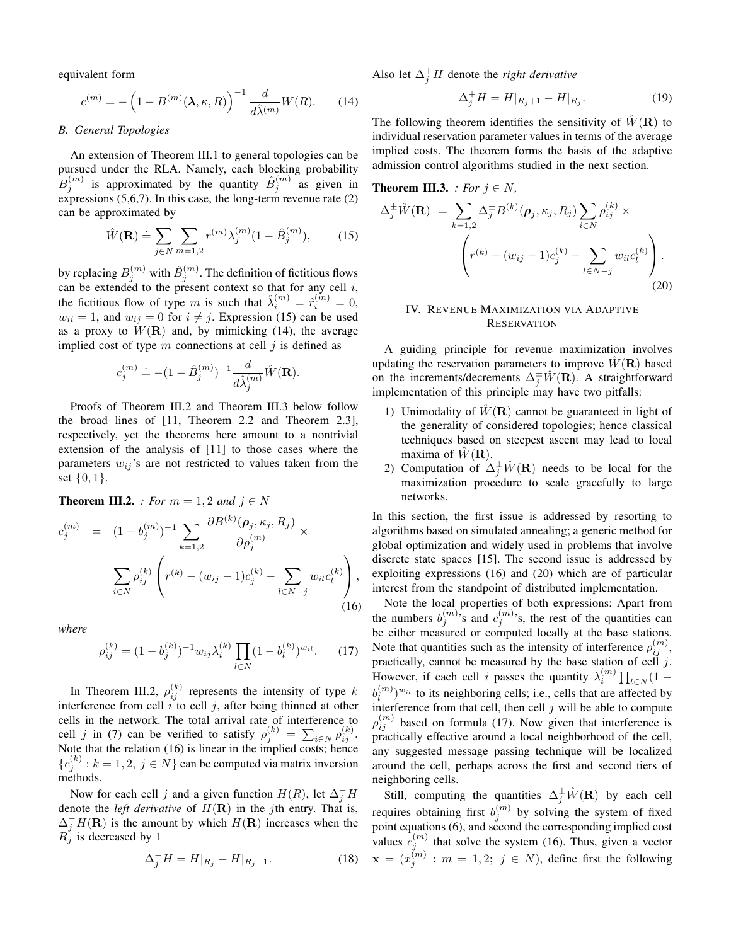equivalent form

$$
c^{(m)} = -\left(1 - B^{(m)}(\lambda, \kappa, R)\right)^{-1} \frac{d}{d\hat{\lambda}^{(m)}} W(R). \tag{14}
$$

### *B. General Topologies*

An extension of Theorem III.1 to general topologies can be pursued under the RLA. Namely, each blocking probability  $B_j^{(m)}$  is approximated by the quantity  $\hat{B}_j^{(m)}$  as given in expressions  $(5,6,7)$ . In this case, the long-term revenue rate  $(2)$ can be approximated by

$$
\hat{W}(\mathbf{R}) \doteq \sum_{j \in N} \sum_{m=1,2} r^{(m)} \lambda_j^{(m)} (1 - \hat{B}_j^{(m)}), \quad (15)
$$

by replacing  $B_j^{(m)}$  with  $\hat{B}_j^{(m)}.$  The definition of fictitious flows can be extended to the present context so that for any cell  $i$ , the fictitious flow of type m is such that  $\hat{\lambda}_i^{(m)} = \hat{r}_i^{(m)} = 0$ ,  $w_{ii} = 1$ , and  $w_{ii} = 0$  for  $i \neq j$ . Expression (15) can be used as a proxy to  $W(\mathbf{R})$  and, by mimicking (14), the average implied cost of type  $m$  connections at cell  $j$  is defined as

$$
c_j^{(m)}\doteq -(1-\hat B_j^{(m)})^{-1}\frac{d}{d\hat\lambda_j^{(m)}}\hat W(\mathbf R).
$$

Proofs of Theorem III.2 and Theorem III.3 below follow the broad lines of [11, Theorem 2.2 and Theorem 2.3], respectively, yet the theorems here amount to a nontrivial extension of the analysis of [11] to those cases where the parameters  $w_{ij}$ 's are not restricted to values taken from the set  $\{0, 1\}.$ 

**Theorem III.2.** *: For*  $m = 1, 2$  *and*  $j \in N$ 

$$
c_j^{(m)} = (1 - b_j^{(m)})^{-1} \sum_{k=1,2} \frac{\partial B^{(k)}(\rho_j, \kappa_j, R_j)}{\partial \rho_j^{(m)}} \times \sum_{i \in N} \rho_{ij}^{(k)} \left( r^{(k)} - (w_{ij} - 1)c_j^{(k)} - \sum_{l \in N-j} w_{il}c_l^{(k)} \right),
$$
\n(16)

*where*

$$
\rho_{ij}^{(k)} = (1 - b_j^{(k)})^{-1} w_{ij} \lambda_i^{(k)} \prod_{l \in N} (1 - b_l^{(k)})^{w_{il}}.
$$
 (17)

In Theorem III.2,  $\rho_{ij}^{(k)}$  represents the intensity of type k interference from cell  $i$  to cell  $j$ , after being thinned at other cells in the network. The total arrival rate of interference to cell j in (7) can be verified to satisfy  $\rho_j^{(k)} = \sum_{i \in N} \rho_{ij}^{(k)}$ . Note that the relation (16) is linear in the implied costs; hence  ${c_j^{(k)}: k = 1, 2, j \in N}$  can be computed via matrix inversion methods.

Now for each cell j and a given function  $H(R)$ , let  $\Delta_j^- H$ denote the *left derivative* of  $H(\mathbf{R})$  in the *j*th entry. That is,  $\Delta_j^- H(\mathbf{R})$  is the amount by which  $H(\mathbf{R})$  increases when the  $R_j$  is decreased by 1

$$
\Delta_j^- H = H|_{R_j} - H|_{R_j - 1}.\tag{18}
$$

Also let  $\Delta_j^+ H$  denote the *right derivative* 

$$
\Delta_j^+ H = H|_{R_j+1} - H|_{R_j}.\tag{19}
$$

The following theorem identifies the sensitivity of  $\hat{W}(\mathbf{R})$  to individual reservation parameter values in terms of the average implied costs. The theorem forms the basis of the adaptive admission control algorithms studied in the next section.

**Theorem III.3.** : For 
$$
j \in N
$$
,  
\n
$$
\Delta_j^{\pm} \hat{W}(\mathbf{R}) = \sum_{k=1,2} \Delta_j^{\pm} B^{(k)}(\rho_j, \kappa_j, R_j) \sum_{i \in N} \rho_{ij}^{(k)} \times
$$
\n
$$
\left(r^{(k)} - (w_{ij} - 1)c_j^{(k)} - \sum_{l \in N-j} w_{il} c_l^{(k)}\right).
$$
\n(20)

# IV. REVENUE MAXIMIZATION VIA ADAPTIVE **RESERVATION**

A guiding principle for revenue maximization involves updating the reservation parameters to improve  $W(\mathbf{R})$  based on the increments/decrements  $\Delta_j^{\pm} \hat{W}(\mathbf{R})$ . A straightforward implementation of this principle may have two pitfalls:

- 1) Unimodality of  $\hat{W}(\mathbf{R})$  cannot be guaranteed in light of the generality of considered topologies; hence classical techniques based on steepest ascent may lead to local maxima of  $W(\mathbf{R})$ .
- 2) Computation of  $\Delta_j^{\pm} \hat{W}(\mathbf{R})$  needs to be local for the maximization procedure to scale gracefully to large networks.

In this section, the first issue is addressed by resorting to algorithms based on simulated annealing; a generic method for global optimization and widely used in problems that involve discrete state spaces [15]. The second issue is addressed by exploiting expressions (16) and (20) which are of particular interest from the standpoint of distributed implementation.

Note the local properties of both expressions: Apart from the numbers  $b_j^{(m)}$ , s and  $c_j^{(m)}$ , s, the rest of the quantities can be either measured or computed locally at the base stations. Note that quantities such as the intensity of interference  $\rho_{ij}^{(m)}$ , practically, cannot be measured by the base station of cell  $j$ . However, if each cell *i* passes the quantity  $\lambda_i^{(m)} \prod_{l \in N} (1$  $b_l^{(m)}$  $\binom{m}{l}$ <sup>*w<sub>il</sub>*</sup> to its neighboring cells; i.e., cells that are affected by interference from that cell, then cell  $j$  will be able to compute  $\rho_{ij}^{(m)}$  based on formula (17). Now given that interference is practically effective around a local neighborhood of the cell, any suggested message passing technique will be localized around the cell, perhaps across the first and second tiers of neighboring cells.

Still, computing the quantities  $\Delta_j^{\pm} \hat{W}(\mathbf{R})$  by each cell requires obtaining first  $b_j^{(m)}$  by solving the system of fixed point equations (6), and second the corresponding implied cost values  $c_j^{(m)}$  that solve the system (16). Thus, given a vector  $\mathbf{x} = (x_j^{(m)} : m = 1, 2; j \in N)$ , define first the following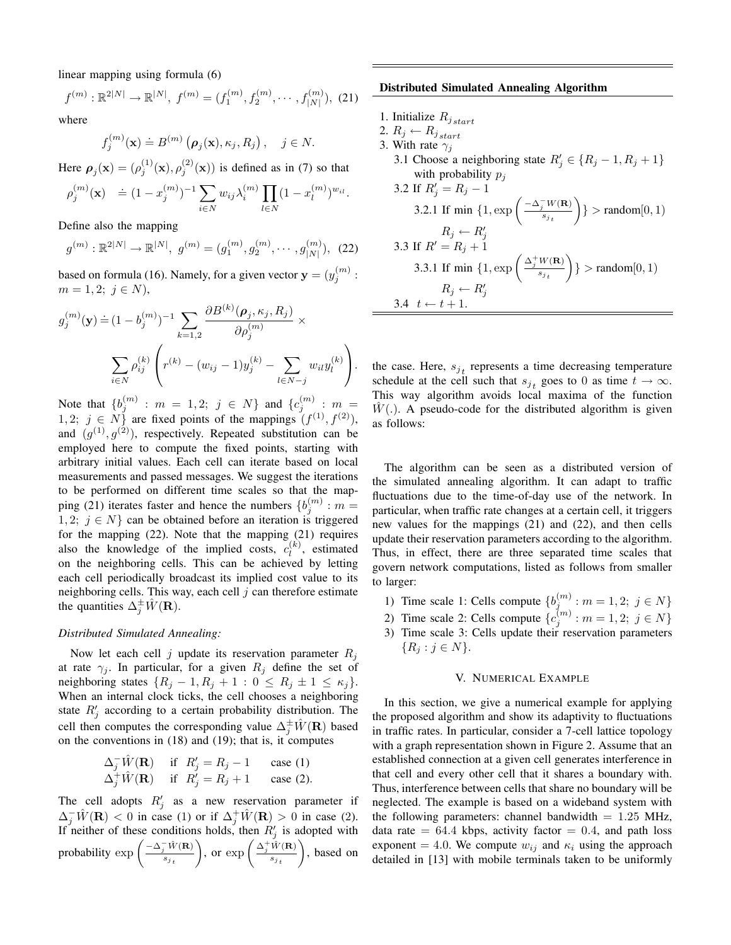linear mapping using formula (6)

$$
f^{(m)} : \mathbb{R}^{2|N|} \to \mathbb{R}^{|N|}, f^{(m)} = (f_1^{(m)}, f_2^{(m)}, \cdots, f_{|N|}^{(m)}), (21)
$$

where

$$
f_j^{(m)}(\mathbf{x}) \doteq B^{(m)}\left(\boldsymbol{\rho}_j(\mathbf{x}), \kappa_j, R_j\right), \quad j \in N.
$$

Here  $\rho_j(\mathbf{x}) = (\rho_j^{(1)}(\mathbf{x}), \rho_j^{(2)}(\mathbf{x}))$  is defined as in (7) so that

$$
\rho_j^{(m)}(\mathbf{x}) \quad \doteq (1 - x_j^{(m)})^{-1} \sum_{i \in N} w_{ij} \lambda_i^{(m)} \prod_{l \in N} (1 - x_l^{(m)})^{w_{il}}.
$$

Define also the mapping

$$
g^{(m)}: \mathbb{R}^{2|N|} \to \mathbb{R}^{|N|}, \ g^{(m)} = (g_1^{(m)}, g_2^{(m)}, \cdots, g_{|N|}^{(m)}), \tag{22}
$$

based on formula (16). Namely, for a given vector  $\mathbf{y} = (y_j^{(m)} :$  $m = 1, 2; j \in N$ ),

$$
g_j^{(m)}(\mathbf{y}) \doteq (1 - b_j^{(m)})^{-1} \sum_{k=1,2} \frac{\partial B^{(k)}(\rho_j, \kappa_j, R_j)}{\partial \rho_j^{(m)}} \times \sum_{i \in N} \rho_{ij}^{(k)} \left( r^{(k)} - (w_{ij} - 1) y_j^{(k)} - \sum_{l \in N-j} w_{il} y_l^{(k)} \right).
$$

Note that  $\{b_j^{(m)} : m = 1, 2; j \in N\}$  and  $\{c_j^{(m)} : m = 1, 2; j \in N\}$ 1, 2;  $j \in N$  are fixed points of the mappings  $(f^{(1)}, f^{(2)})$ , and  $(g^{(1)}, g^{(2)})$ , respectively. Repeated substitution can be employed here to compute the fixed points, starting with arbitrary initial values. Each cell can iterate based on local measurements and passed messages. We suggest the iterations to be performed on different time scales so that the mapping (21) iterates faster and hence the numbers  $\{b_j^{(m)} : m =$ 1, 2;  $j \in N$  can be obtained before an iteration is triggered for the mapping (22). Note that the mapping (21) requires also the knowledge of the implied costs,  $c_1^{(k)}$  $\binom{k}{l}$ , estimated on the neighboring cells. This can be achieved by letting each cell periodically broadcast its implied cost value to its neighboring cells. This way, each cell  $j$  can therefore estimate the quantities  $\Delta_j^{\pm} \hat{W}(\mathbf{R})$ .

#### *Distributed Simulated Annealing:*

Now let each cell j update its reservation parameter  $R_i$ at rate  $\gamma_j$ . In particular, for a given  $R_j$  define the set of neighboring states  $\{R_j - 1, R_j + 1 : 0 \le R_j \pm 1 \le \kappa_j\}.$ When an internal clock ticks, the cell chooses a neighboring state  $R'_j$  according to a certain probability distribution. The cell then computes the corresponding value  $\Delta_j^{\pm} \hat{W}(\mathbf{R})$  based on the conventions in (18) and (19); that is, it computes

$$
\Delta_j^{-} \hat{W}(\mathbf{R}) \quad \text{if} \quad R'_j = R_j - 1 \quad \text{case (1)}
$$
  

$$
\Delta_j^{+} \hat{W}(\mathbf{R}) \quad \text{if} \quad R'_j = R_j + 1 \quad \text{case (2)}.
$$

The cell adopts  $R'_j$  as a new reservation parameter if  $\Delta_j^-\hat{W}(\mathbf{R})$  < 0 in case (1) or if  $\Delta_j^+\hat{W}(\mathbf{R}) > 0$  in case (2). If neither of these conditions holds, then  $R'_j$  is adopted with probability  $\exp\left(\frac{-\Delta_j^{-1}\hat{W}(\mathbf{R})}{s}\right)$  $s_j$ <sub>t</sub> ), or  $\exp\left(\frac{\Delta_j^+ \hat{W}(\mathbf{R})}{s} \right)$  $s_j$ <sub>t</sub> , based on

#### **Distributed Simulated Annealing Algorithm**

- 1. Initialize  $R_{j, start}$
- 2.  $R_j \leftarrow R_{j \, start}$

 $3.4 \t t \leftarrow t + 1.$ 

- 3. With rate  $\gamma_i$ 
	- 3.1 Choose a neighboring state  $R'_j \in \{R_j 1, R_j + 1\}$ with probability  $p_j$ 3.2 If  $R'_j = R_j - 1$

3.2.1 If 
$$
\min\left\{1, \exp\left(\frac{-\Delta_j^{-}W(\mathbf{R})}{s_{j_t}}\right)\right\} > \text{random}[0, 1)
$$

\n $R_j \leftarrow R'_j$ 

\n3.3 If  $R' = R_j + 1$ 

\n3.3.1 If  $\min\left\{1, \exp\left(\frac{\Delta_j^{+}W(\mathbf{R})}{s_{j_t}}\right)\right\} > \text{random}[0, 1)$ 

\n $R_j \leftarrow R'_j$ 

the case. Here,  $s_{j_t}$  represents a time decreasing temperature schedule at the cell such that  $s_{j_t}$  goes to 0 as time  $t \to \infty$ . This way algorithm avoids local maxima of the function  $W(.)$ . A pseudo-code for the distributed algorithm is given as follows:

The algorithm can be seen as a distributed version of the simulated annealing algorithm. It can adapt to traffic fluctuations due to the time-of-day use of the network. In particular, when traffic rate changes at a certain cell, it triggers new values for the mappings (21) and (22), and then cells update their reservation parameters according to the algorithm. Thus, in effect, there are three separated time scales that govern network computations, listed as follows from smaller to larger:

- 1) Time scale 1: Cells compute  $\{b_j^{(m)} : m = 1, 2; j \in N\}$
- 2) Time scale 2: Cells compute  $\{c_j^{(m)} : m = 1, 2; j \in N\}$
- 3) Time scale 3: Cells update their reservation parameters  ${R_i : j \in N}.$

#### V. NUMERICAL EXAMPLE

In this section, we give a numerical example for applying the proposed algorithm and show its adaptivity to fluctuations in traffic rates. In particular, consider a 7-cell lattice topology with a graph representation shown in Figure 2. Assume that an established connection at a given cell generates interference in that cell and every other cell that it shares a boundary with. Thus, interference between cells that share no boundary will be neglected. The example is based on a wideband system with the following parameters: channel bandwidth  $= 1.25$  MHz, data rate  $= 64.4$  kbps, activity factor  $= 0.4$ , and path loss exponent = 4.0. We compute  $w_{ij}$  and  $\kappa_i$  using the approach detailed in [13] with mobile terminals taken to be uniformly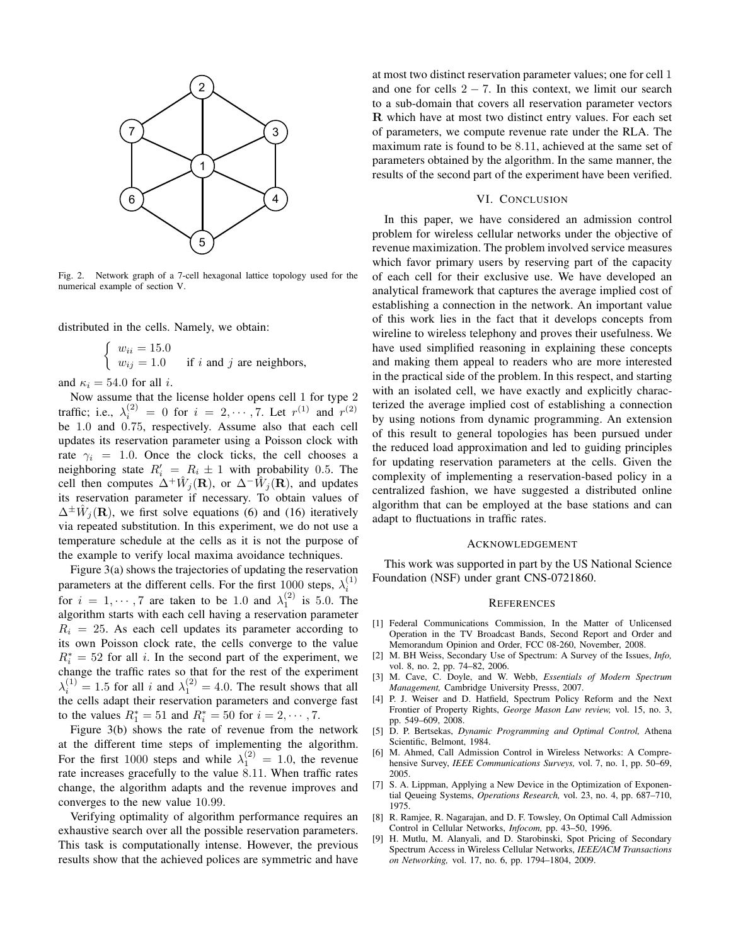

Fig. 2. Network graph of a 7-cell hexagonal lattice topology used for the numerical example of section V.

distributed in the cells. Namely, we obtain:

$$
\begin{cases} w_{ii} = 15.0 \\ w_{ij} = 1.0 \end{cases}
$$
 if *i* and *j* are neighbors,

and  $\kappa_i = 54.0$  for all *i*.

Now assume that the license holder opens cell 1 for type 2 traffic; i.e.,  $\lambda_i^{(2)} = 0$  for  $i = 2, \dots, 7$ . Let  $r^{(1)}$  and  $r^{(2)}$ be 1.0 and 0.75, respectively. Assume also that each cell updates its reservation parameter using a Poisson clock with rate  $\gamma_i = 1.0$ . Once the clock ticks, the cell chooses a neighboring state  $R'_i = R_i \pm 1$  with probability 0.5. The cell then computes  $\Delta^+ \hat{W}_j(\mathbf{R})$ , or  $\Delta^- \hat{W}_j(\mathbf{R})$ , and updates its reservation parameter if necessary. To obtain values of  $\Delta^{\pm} \hat{W}_j(\mathbf{R})$ , we first solve equations (6) and (16) iteratively via repeated substitution. In this experiment, we do not use a temperature schedule at the cells as it is not the purpose of the example to verify local maxima avoidance techniques.

Figure 3(a) shows the trajectories of updating the reservation parameters at the different cells. For the first 1000 steps,  $\lambda_i^{(1)}$ for  $i = 1, \dots, 7$  are taken to be 1.0 and  $\lambda_1^{(2)}$  is 5.0. The algorithm starts with each cell having a reservation parameter  $R_i = 25$ . As each cell updates its parameter according to its own Poisson clock rate, the cells converge to the value  $R_i^* = 52$  for all i. In the second part of the experiment, we change the traffic rates so that for the rest of the experiment  $\lambda_i^{(1)} = 1.5$  for all i and  $\lambda_1^{(2)} = 4.0$ . The result shows that all the cells adapt their reservation parameters and converge fast to the values  $R_1^* = 51$  and  $R_i^* = 50$  for  $i = 2, \dots, 7$ .

Figure 3(b) shows the rate of revenue from the network at the different time steps of implementing the algorithm. For the first 1000 steps and while  $\lambda_1^{(2)} = 1.0$ , the revenue rate increases gracefully to the value 8.11. When traffic rates change, the algorithm adapts and the revenue improves and converges to the new value 10.99.

Verifying optimality of algorithm performance requires an exhaustive search over all the possible reservation parameters. This task is computationally intense. However, the previous results show that the achieved polices are symmetric and have at most two distinct reservation parameter values; one for cell 1 and one for cells  $2 - 7$ . In this context, we limit our search to a sub-domain that covers all reservation parameter vectors R which have at most two distinct entry values. For each set of parameters, we compute revenue rate under the RLA. The maximum rate is found to be 8.11, achieved at the same set of parameters obtained by the algorithm. In the same manner, the results of the second part of the experiment have been verified.

## VI. CONCLUSION

In this paper, we have considered an admission control problem for wireless cellular networks under the objective of revenue maximization. The problem involved service measures which favor primary users by reserving part of the capacity of each cell for their exclusive use. We have developed an analytical framework that captures the average implied cost of establishing a connection in the network. An important value of this work lies in the fact that it develops concepts from wireline to wireless telephony and proves their usefulness. We have used simplified reasoning in explaining these concepts and making them appeal to readers who are more interested in the practical side of the problem. In this respect, and starting with an isolated cell, we have exactly and explicitly characterized the average implied cost of establishing a connection by using notions from dynamic programming. An extension of this result to general topologies has been pursued under the reduced load approximation and led to guiding principles for updating reservation parameters at the cells. Given the complexity of implementing a reservation-based policy in a centralized fashion, we have suggested a distributed online algorithm that can be employed at the base stations and can adapt to fluctuations in traffic rates.

#### ACKNOWLEDGEMENT

This work was supported in part by the US National Science Foundation (NSF) under grant CNS-0721860.

#### **REFERENCES**

- [1] Federal Communications Commission, In the Matter of Unlicensed Operation in the TV Broadcast Bands, Second Report and Order and Memorandum Opinion and Order, FCC 08-260, November, 2008.
- [2] M. BH Weiss, Secondary Use of Spectrum: A Survey of the Issues, *Info,* vol. 8, no. 2, pp. 74–82, 2006.
- [3] M. Cave, C. Doyle, and W. Webb, *Essentials of Modern Spectrum Management,* Cambridge University Presss, 2007.
- [4] P. J. Weiser and D. Hatfield, Spectrum Policy Reform and the Next Frontier of Property Rights, *George Mason Law review,* vol. 15, no. 3, pp. 549–609, 2008.
- [5] D. P. Bertsekas, *Dynamic Programming and Optimal Control,* Athena Scientific, Belmont, 1984.
- [6] M. Ahmed, Call Admission Control in Wireless Networks: A Comprehensive Survey, *IEEE Communications Surveys,* vol. 7, no. 1, pp. 50–69, 2005.
- [7] S. A. Lippman, Applying a New Device in the Optimization of Exponential Qeueing Systems, *Operations Research,* vol. 23, no. 4, pp. 687–710, 1975.
- [8] R. Ramjee, R. Nagarajan, and D. F. Towsley, On Optimal Call Admission Control in Cellular Networks, *Infocom,* pp. 43–50, 1996.
- [9] H. Mutlu, M. Alanyali, and D. Starobinski, Spot Pricing of Secondary Spectrum Access in Wireless Cellular Networks, *IEEE/ACM Transactions on Networking,* vol. 17, no. 6, pp. 1794–1804, 2009.